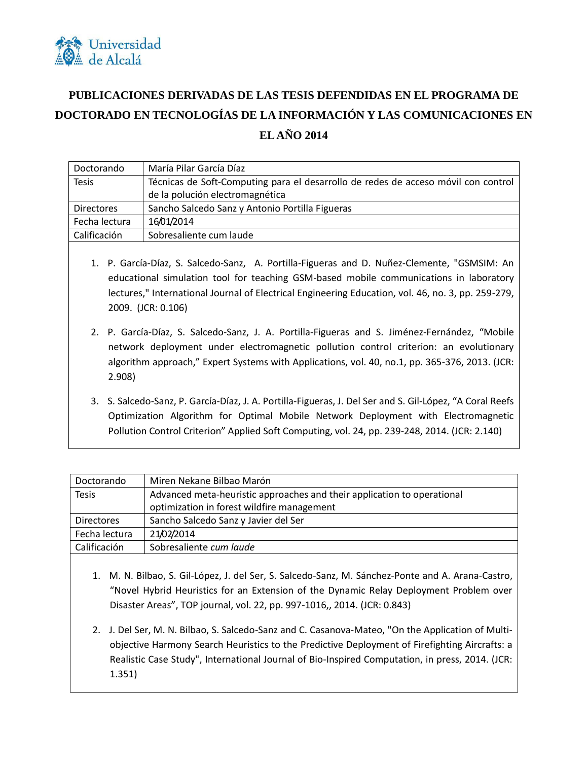

## **PUBLICACIONES DERIVADAS DE LAS TESIS DEFENDIDAS EN EL PROGRAMA DE DOCTORADO EN TECNOLOGÍAS DE LA INFORMACIÓN Y LAS COMUNICACIONES EN EL AÑO 2014**

| Doctorando        | María Pilar García Díaz                                                            |
|-------------------|------------------------------------------------------------------------------------|
| <b>Tesis</b>      | Técnicas de Soft-Computing para el desarrollo de redes de acceso móvil con control |
|                   | de la polución electromagnética                                                    |
| <b>Directores</b> | Sancho Salcedo Sanz y Antonio Portilla Figueras                                    |
| Fecha lectura     | 16/01/2014                                                                         |
| Calificación      | Sobresaliente cum laude                                                            |

- 1. P. García-Díaz, S. Salcedo-Sanz, A. Portilla-Figueras and D. Nuñez-Clemente, "GSMSIM: An educational simulation tool for teaching GSM-based mobile communications in laboratory lectures," International Journal of Electrical Engineering Education, vol. 46, no. 3, pp. 259-279, 2009. (JCR: 0.106)
- 2. P. García-Díaz, S. Salcedo-Sanz, J. A. Portilla-Figueras and S. Jiménez-Fernández, "Mobile network deployment under electromagnetic pollution control criterion: an evolutionary algorithm approach," Expert Systems with Applications, vol. 40, no.1, pp. 365-376, 2013. (JCR: 2.908)
- 3. S. Salcedo-Sanz, P. García-Díaz, J. A. Portilla-Figueras, J. Del Ser and S. Gil-López, "A Coral Reefs Optimization Algorithm for Optimal Mobile Network Deployment with Electromagnetic Pollution Control Criterion" Applied Soft Computing, vol. 24, pp. 239-248, 2014. (JCR: 2.140)

| Doctorando    | Miren Nekane Bilbao Marón                                               |
|---------------|-------------------------------------------------------------------------|
| <b>Tesis</b>  | Advanced meta-heuristic approaches and their application to operational |
|               | optimization in forest wildfire management                              |
| Directores    | Sancho Salcedo Sanz y Javier del Ser                                    |
| Fecha lectura | 21/02/2014                                                              |
| Calificación  | Sobresaliente cum laude                                                 |

- 1. M. N. Bilbao, S. Gil-López, J. del Ser, S. Salcedo-Sanz, M. Sánchez-Ponte and A. Arana-Castro, "Novel Hybrid Heuristics for an Extension of the Dynamic Relay Deployment Problem over Disaster Areas", TOP journal, vol. 22, pp. 997-1016,, 2014. (JCR: 0.843)
- 2. J. Del Ser, M. N. Bilbao, S. Salcedo-Sanz and C. Casanova-Mateo, "On the Application of Multiobjective Harmony Search Heuristics to the Predictive Deployment of Firefighting Aircrafts: a Realistic Case Study", International Journal of Bio-Inspired Computation, in press, 2014. (JCR: 1.351)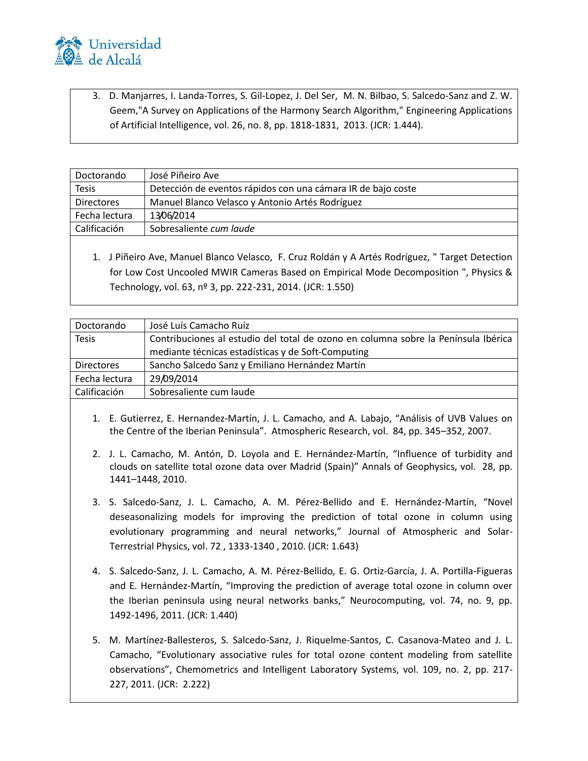

3. D. Manjarres, I. Landa-Torres, S. Gil-Lopez, J. Del Ser, M. N. Bilbao, S. Salcedo-Sanz and Z. W. Geem,"A Survey on Applications of the Harmony Search Algorithm," Engineering Applications of Artificial Intelligence, vol. 26, no. 8, pp. 1818-1831, 2013. (JCR: 1.444).

| Doctorando        | José Piñeiro Ave                                             |
|-------------------|--------------------------------------------------------------|
| <b>Tesis</b>      | Detección de eventos rápidos con una cámara IR de bajo coste |
| <b>Directores</b> | Manuel Blanco Velasco y Antonio Artés Rodríguez              |
| Fecha lectura     | 13/06/2014                                                   |
| Calificación      | Sobresaliente cum laude                                      |
|                   |                                                              |

1. J Piñeiro Ave, Manuel Blanco Velasco, F. Cruz Roldán y A Artés Rodríguez, " Target Detection for Low Cost Uncooled MWIR Cameras Based on Empirical Mode Decomposition ", Physics & Technology, vol. 63, nº 3, pp. 222-231, 2014. (JCR: 1.550)

| Doctorando        | José Luís Camacho Ruíz                                                             |
|-------------------|------------------------------------------------------------------------------------|
| <b>Tesis</b>      | Contribuciones al estudio del total de ozono en columna sobre la Península Ibérica |
|                   | mediante técnicas estadísticas y de Soft-Computing                                 |
| <b>Directores</b> | Sancho Salcedo Sanz y Emiliano Hernández Martín                                    |
| Fecha lectura     | 29/09/2014                                                                         |
| Calificación      | Sobresaliente cum laude                                                            |
|                   |                                                                                    |

- 1. E. Gutierrez, E. Hernandez-Martín, J. L. Camacho, and A. Labajo, "Análisis of UVB Values on the Centre of the Iberian Peninsula". Atmospheric Research, vol. 84, pp. 345–352, 2007.
- 2. J. L. Camacho, M. Antón, D. Loyola and E. Hernández-Martín, "Influence of turbidity and clouds on satellite total ozone data over Madrid (Spain)" Annals of Geophysics, vol. 28, pp. 1441–1448, 2010.
- 3. S. Salcedo-Sanz, J. L. Camacho, A. M. Pérez-Bellido and E. Hernández-Martín, "Novel deseasonalizing models for improving the prediction of total ozone in column using evolutionary programming and neural networks," Journal of Atmospheric and Solar-Terrestrial Physics, vol. 72 , 1333-1340 , 2010. (JCR: 1.643)
- 4. S. Salcedo-Sanz, J. L. Camacho, A. M. Pérez-Bellido, E. G. Ortiz-García, J. A. Portilla-Figueras and E. Hernández-Martín, "Improving the prediction of average total ozone in column over the Iberian peninsula using neural networks banks," Neurocomputing, vol. 74, no. 9, pp. 1492-1496, 2011. (JCR: 1.440)
- 5. M. Martínez-Ballesteros, S. Salcedo-Sanz, J. Riquelme-Santos, C. Casanova-Mateo and J. L. Camacho, "Evolutionary associative rules for total ozone content modeling from satellite observations", Chemometrics and Intelligent Laboratory Systems, vol. 109, no. 2, pp. 217- 227, 2011. (JCR: 2.222)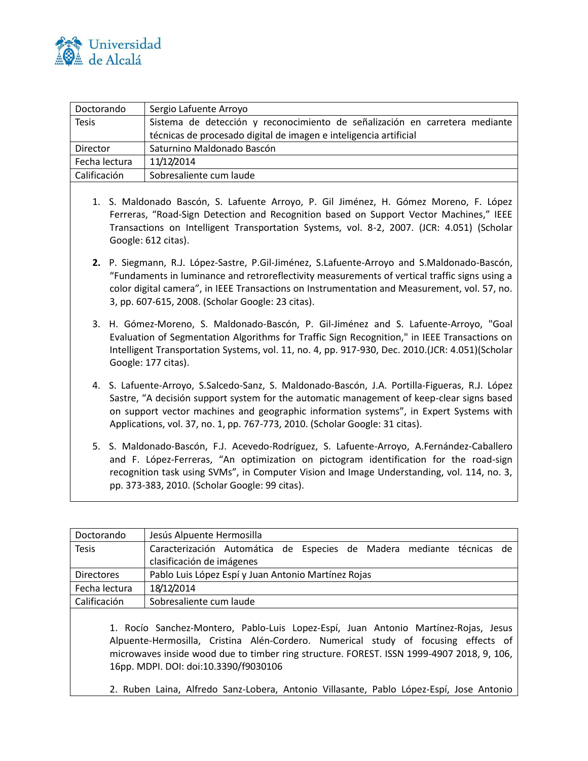

| Doctorando    | Sergio Lafuente Arroyo                                                      |
|---------------|-----------------------------------------------------------------------------|
| <b>Tesis</b>  | Sistema de detección y reconocimiento de señalización en carretera mediante |
|               | técnicas de procesado digital de imagen e inteligencia artificial           |
| Director      | Saturnino Maldonado Bascón                                                  |
| Fecha lectura | 11/12/2014                                                                  |
| Calificación  | Sobresaliente cum laude                                                     |

- 1. S. Maldonado Bascón, S. Lafuente Arroyo, P. Gil Jiménez, H. Gómez Moreno, F. López Ferreras, "Road-Sign Detection and Recognition based on Support Vector Machines," IEEE Transactions on Intelligent Transportation Systems, vol. 8-2, 2007. (JCR: 4.051) (Scholar Google: 612 citas).
- **2.** P. Siegmann, R.J. López-Sastre, P.Gil-Jiménez, S.Lafuente-Arroyo and S.Maldonado-Bascón, "Fundaments in luminance and retroreflectivity measurements of vertical traffic signs using a color digital camera", in IEEE Transactions on Instrumentation and Measurement, vol. 57, no. 3, pp. 607-615, 2008. (Scholar Google: 23 citas).
- 3. H. Gómez-Moreno, S. Maldonado-Bascón, P. Gil-Jiménez and S. Lafuente-Arroyo, "Goal Evaluation of Segmentation Algorithms for Traffic Sign Recognition," in IEEE Transactions on Intelligent Transportation Systems, vol. 11, no. 4, pp. 917-930, Dec. 2010.(JCR: 4.051)(Scholar Google: 177 citas).
- 4. S. Lafuente-Arroyo, S.Salcedo-Sanz, S. Maldonado-Bascón, J.A. Portilla-Figueras, R.J. López Sastre, "A decisión support system for the automatic management of keep-clear signs based on support vector machines and geographic information systems", in Expert Systems with Applications, vol. 37, no. 1, pp. 767-773, 2010. (Scholar Google: 31 citas).
- 5. S. Maldonado-Bascón, F.J. Acevedo-Rodríguez, S. Lafuente-Arroyo, A.Fernández-Caballero and F. López-Ferreras, "An optimization on pictogram identification for the road-sign recognition task using SVMs", in Computer Vision and Image Understanding, vol. 114, no. 3, pp. 373-383, 2010. (Scholar Google: 99 citas).

| Doctorando        | Jesús Alpuente Hermosilla                                             |
|-------------------|-----------------------------------------------------------------------|
| <b>Tesis</b>      | Caracterización Automática de Especies de Madera mediante técnicas de |
|                   | clasificación de imágenes                                             |
| <b>Directores</b> | Pablo Luis López Espí y Juan Antonio Martínez Rojas                   |
| Fecha lectura     | 18/12/2014                                                            |
| Calificación      | Sobresaliente cum laude                                               |
|                   |                                                                       |

1. Rocío Sanchez-Montero, Pablo-Luis Lopez-Espí, Juan Antonio Martínez-Rojas, Jesus Alpuente-Hermosilla, Cristina Alén-Cordero. Numerical study of focusing effects of microwaves inside wood due to timber ring structure. FOREST. ISSN 1999-4907 2018, 9, 106, 16pp. MDPI. DOI: doi:10.3390/f9030106

2. Ruben Laina, Alfredo Sanz-Lobera, Antonio Villasante, Pablo López-Espí, Jose Antonio